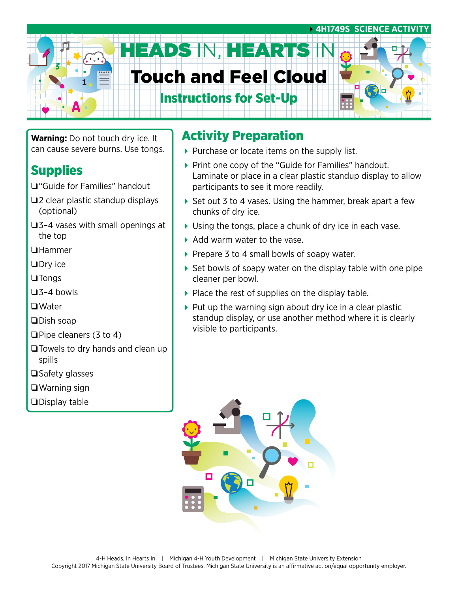# **4H1749S SCIENCE ACTIV** HEADS IN, HEARTS I Touch and Feel Cloud Instructions for Set-Up

**Warning:** Do not touch dry ice. It can cause severe burns. Use tongs.

#### Supplies

- ❏"Guide for Families" handout
- ❏2 clear plastic standup displays (optional)
- ❏3–4 vases with small openings at the top
- ❏Hammer
- ❏Dry ice
- ❏Tongs
- ❏3–4 bowls
- ❏Water
- ❏Dish soap
- ❏Pipe cleaners (3 to 4)
- ❏Towels to dry hands and clean up spills
- ❏Safety glasses
- ❏Warning sign
- ❏Display table

#### Activity Preparation

- $\blacktriangleright$  Purchase or locate items on the supply list.
- ▶ Print one copy of the "Guide for Families" handout. Laminate or place in a clear plastic standup display to allow participants to see it more readily.
- ▶ Set out 3 to 4 vases. Using the hammer, break apart a few chunks of dry ice.
- Using the tongs, place a chunk of dry ice in each vase.
- Add warm water to the vase.
- $\triangleright$  Prepare 3 to 4 small bowls of soapy water.
- $\blacktriangleright$  Set bowls of soapy water on the display table with one pipe cleaner per bowl.
- $\blacktriangleright$  Place the rest of supplies on the display table.
- $\triangleright$  Put up the warning sign about dry ice in a clear plastic standup display, or use another method where it is clearly visible to participants.

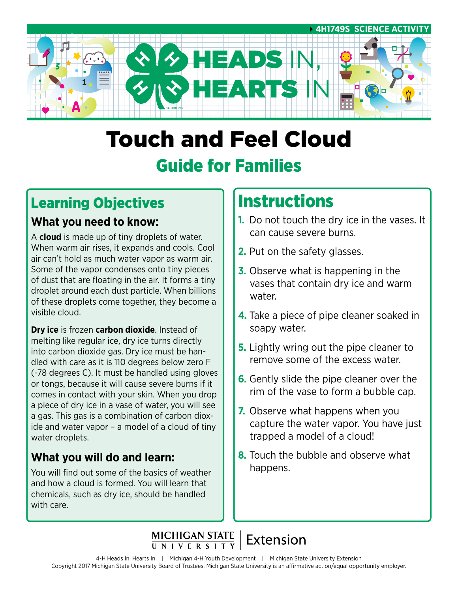

# Touch and Feel Cloud Guide for Families

## Learning Objectives

#### **What you need to know:**

A **cloud** is made up of tiny droplets of water. When warm air rises, it expands and cools. Cool air can't hold as much water vapor as warm air. Some of the vapor condenses onto tiny pieces of dust that are floating in the air. It forms a tiny droplet around each dust particle. When billions of these droplets come together, they become a visible cloud.

**Dry ice** is frozen **carbon dioxide**. Instead of melting like regular ice, dry ice turns directly into carbon dioxide gas. Dry ice must be handled with care as it is 110 degrees below zero F (-78 degrees C). It must be handled using gloves or tongs, because it will cause severe burns if it comes in contact with your skin. When you drop a piece of dry ice in a vase of water, you will see a gas. This gas is a combination of carbon dioxide and water vapor – a model of a cloud of tiny water droplets.

#### **What you will do and learn:**

You will find out some of the basics of weather and how a cloud is formed. You will learn that chemicals, such as dry ice, should be handled with care.

## **Instructions**

- **1.** Do not touch the dry ice in the vases. It can cause severe burns.
- **2.** Put on the safety glasses.
- **3.** Observe what is happening in the vases that contain dry ice and warm water.
- **4.** Take a piece of pipe cleaner soaked in soapy water.
- **5.** Lightly wring out the pipe cleaner to remove some of the excess water.
- **6.** Gently slide the pipe cleaner over the rim of the vase to form a bubble cap.
- **7.** Observe what happens when you capture the water vapor. You have just trapped a model of a cloud!
- **8.** Touch the bubble and observe what happens.

## MICHIGAN STATE | Extension